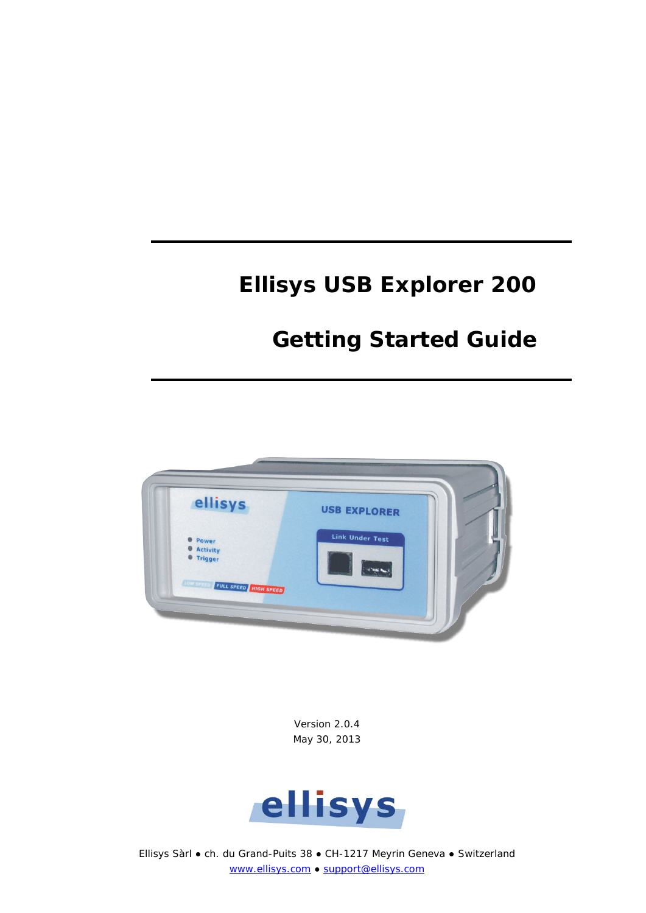# **Ellisys USB Explorer 200**

# **Getting Started Guide**



Version 2.0.4 May 30, 2013



Ellisys Sàrl ● ch. du Grand-Puits 38 ● CH-1217 Meyrin Geneva ● Switzerland [www.ellisys.com](http://www.ellisys.com/) ● [support@ellisys.com](mailto:support@ellisys.com)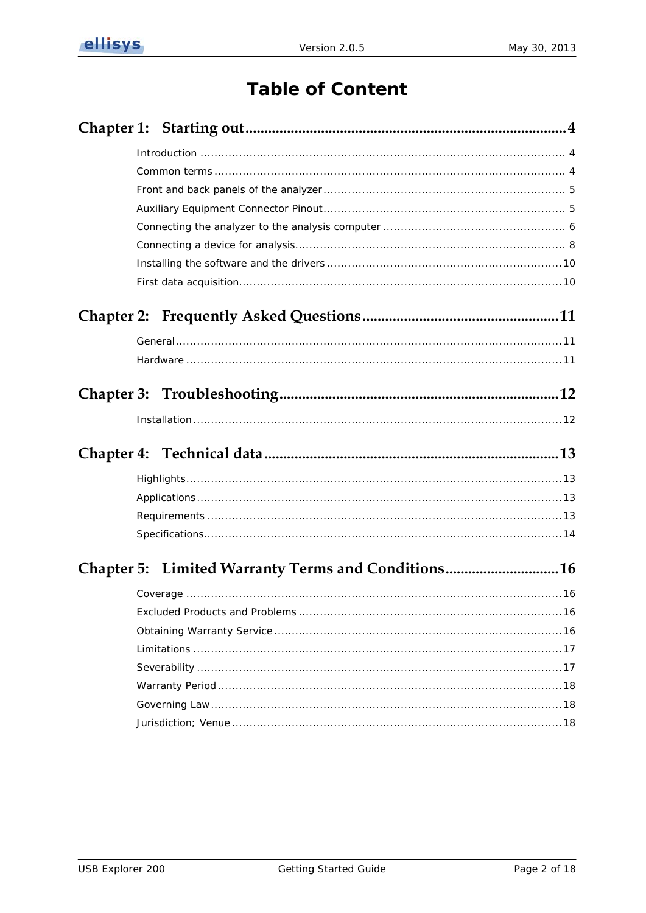# **Table of Content**

| Chapter 5: Limited Warranty Terms and Conditions16 |  |
|----------------------------------------------------|--|
|                                                    |  |
|                                                    |  |
|                                                    |  |
|                                                    |  |
|                                                    |  |
|                                                    |  |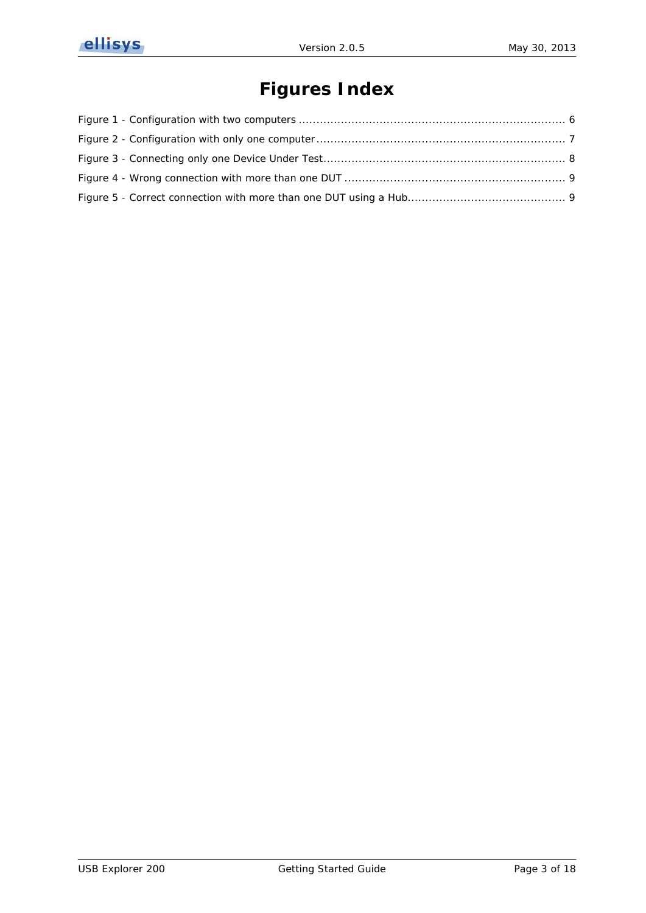

# **Figures Index**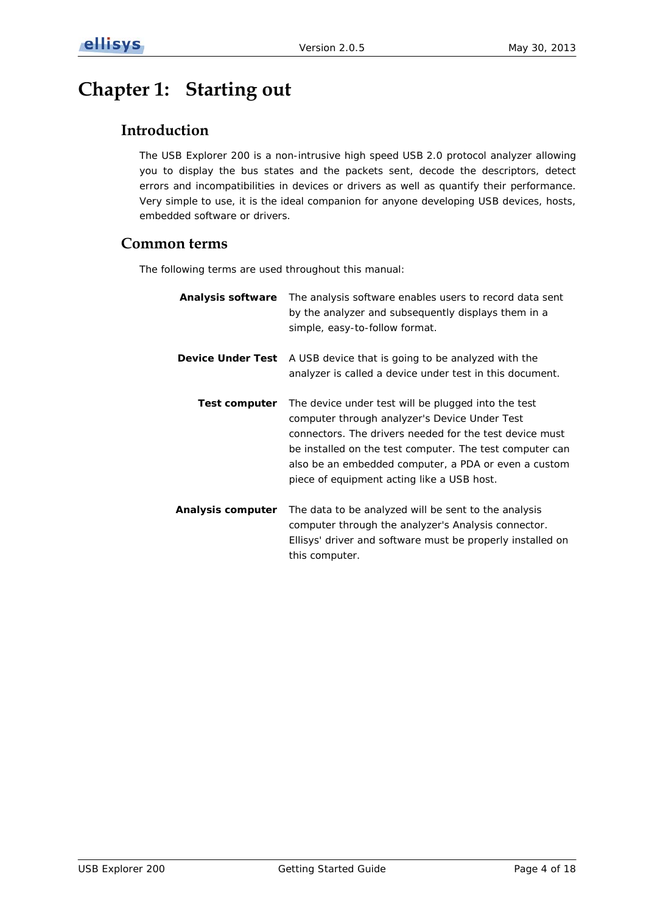# <span id="page-3-1"></span><span id="page-3-0"></span>**Chapter 1: Starting out**

## **Introduction**

The USB Explorer 200 is a non-intrusive high speed USB 2.0 protocol analyzer allowing you to display the bus states and the packets sent, decode the descriptors, detect errors and incompatibilities in devices or drivers as well as quantify their performance. Very simple to use, it is the ideal companion for anyone developing USB devices, hosts, embedded software or drivers.

## <span id="page-3-2"></span>**Common terms**

The following terms are used throughout this manual:

| Analysis software        | The analysis software enables users to record data sent<br>by the analyzer and subsequently displays them in a<br>simple, easy-to-follow format.                                                                                                                                                                                  |
|--------------------------|-----------------------------------------------------------------------------------------------------------------------------------------------------------------------------------------------------------------------------------------------------------------------------------------------------------------------------------|
| <b>Device Under Test</b> | A USB device that is going to be analyzed with the<br>analyzer is called a device under test in this document.                                                                                                                                                                                                                    |
| Test computer            | The device under test will be plugged into the test<br>computer through analyzer's Device Under Test<br>connectors. The drivers needed for the test device must<br>be installed on the test computer. The test computer can<br>also be an embedded computer, a PDA or even a custom<br>piece of equipment acting like a USB host. |
| Analysis computer        | The data to be analyzed will be sent to the analysis<br>computer through the analyzer's Analysis connector.<br>Ellisys' driver and software must be properly installed on<br>this computer.                                                                                                                                       |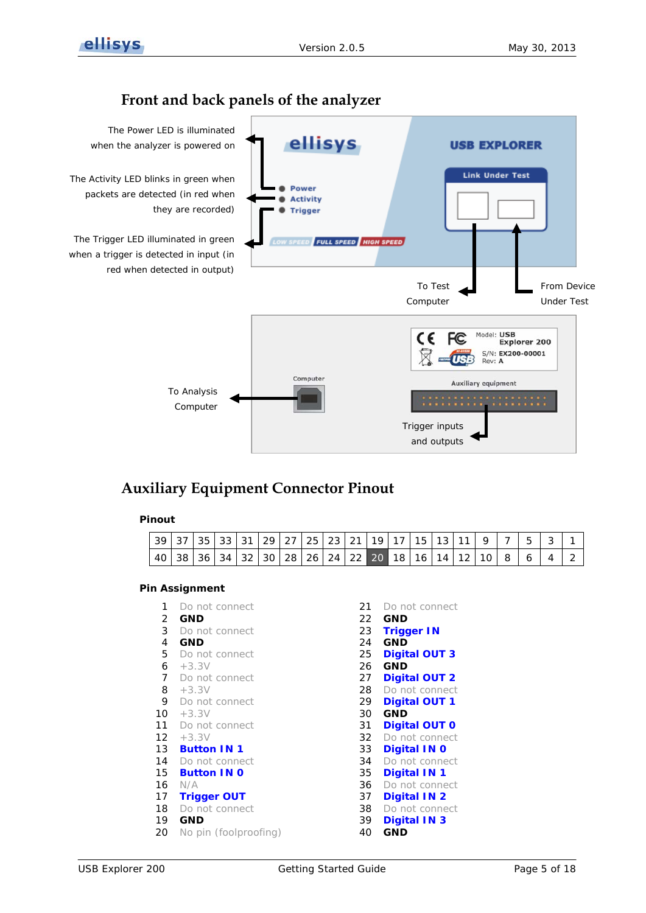

## **Front and back panels of the analyzer**

<span id="page-4-0"></span>

# <span id="page-4-1"></span>**Auxiliary Equipment Connector Pinout**

### **Pinout**

| $\vert$ 39 $\vert$ 37 $\vert$ 35 $\vert$ 33 $\vert$ 31 $\vert$ 29 $\vert$ 27 $\vert$ 25 $\vert$ 23 $\vert$ 21 $\vert$ 19 $\vert$ 17 $\vert$ 15 $\vert$ 13 $\vert$ 11 $\vert$ 9 $\vert$ 7 $\vert$ |  |  |  |  |  |  |  |  |  |  |
|--------------------------------------------------------------------------------------------------------------------------------------------------------------------------------------------------|--|--|--|--|--|--|--|--|--|--|
| 40   38   36   34   32   30   28   26   24   22   20   18   16   14   12   10   8                                                                                                                |  |  |  |  |  |  |  |  |  |  |

## **Pin Assignment**

- 1 Do not connect 21 Do not connect
- 2 **GND** 22 **GND**

- 
- 6 +3.3V 26 **GND**
- 
- 
- 
- 10 +3.3V 30 **GND**
- 
- 
- 
- 
- 
- 
- 
- 
- 20 No pin (foolproofing) 40 **GND**
- 3 Do not connect 23 **Trigger IN** 4 **GND** 24 **GND** 5 Do not connect 25 **Digital OUT 3** 7 Do not connect 27 **Digital OUT 2** 8 +3.3V 28 Do not connect 9 Do not connect 29 **Digital OUT 1** 11 Do not connect 31 **Digital OUT 0** 12 +3.3V 32 Do not connect 13 **Button IN 1** 33 **Digital IN 0** 14 Do not connect 34 Do not connect 15 **Button IN 0** 35 **Digital IN 1** 16 N/A 36 Do not connect 17 **Trigger OUT** 37 **Digital IN 2**
- 18 Do not connect 38 Do not connect
- 19 **GND** 39 **Digital IN 3**
	-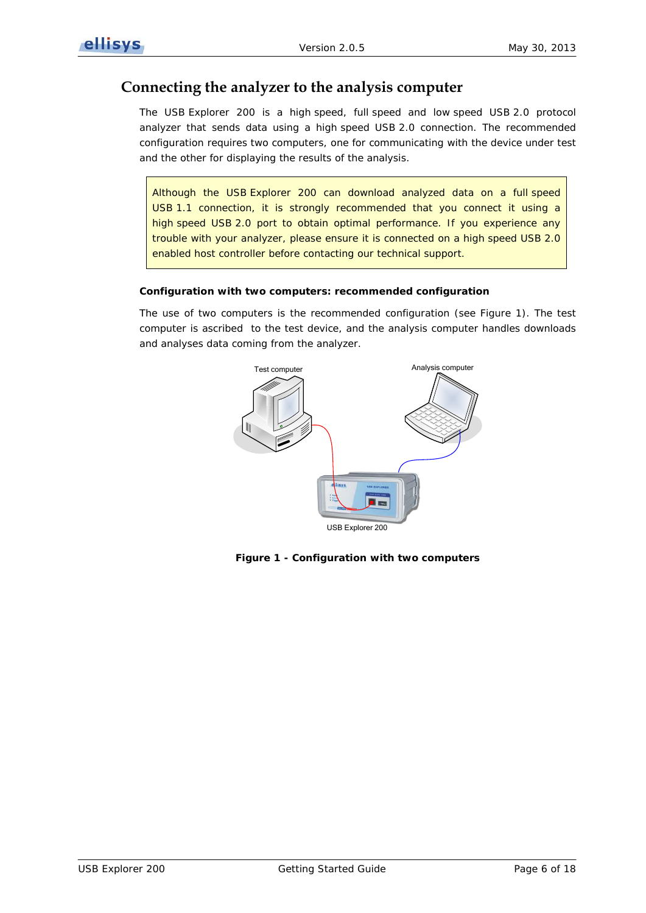## <span id="page-5-0"></span>**Connecting the analyzer to the analysis computer**

The USB Explorer 200 is a high speed, full speed and low speed USB 2.0 protocol analyzer that sends data using a high speed USB 2.0 connection. The recommended configuration requires two computers, one for communicating with the device under test and the other for displaying the results of the analysis.

Although the USB Explorer 200 can download analyzed data on a full speed USB 1.1 connection, it is strongly recommended that you connect it using a high speed USB 2.0 port to obtain optimal performance. If you experience any trouble with your analyzer, please ensure it is connected on a high speed USB 2.0 enabled host controller before contacting our technical support.

#### **Configuration with two computers: recommended configuration**

The use of two computers is the recommended configuration (see [Figure 1\)](#page-5-1). The test computer is ascribed to the test device, and the analysis computer handles downloads and analyses data coming from the analyzer.



<span id="page-5-1"></span>**Figure 1 - Configuration with two computers**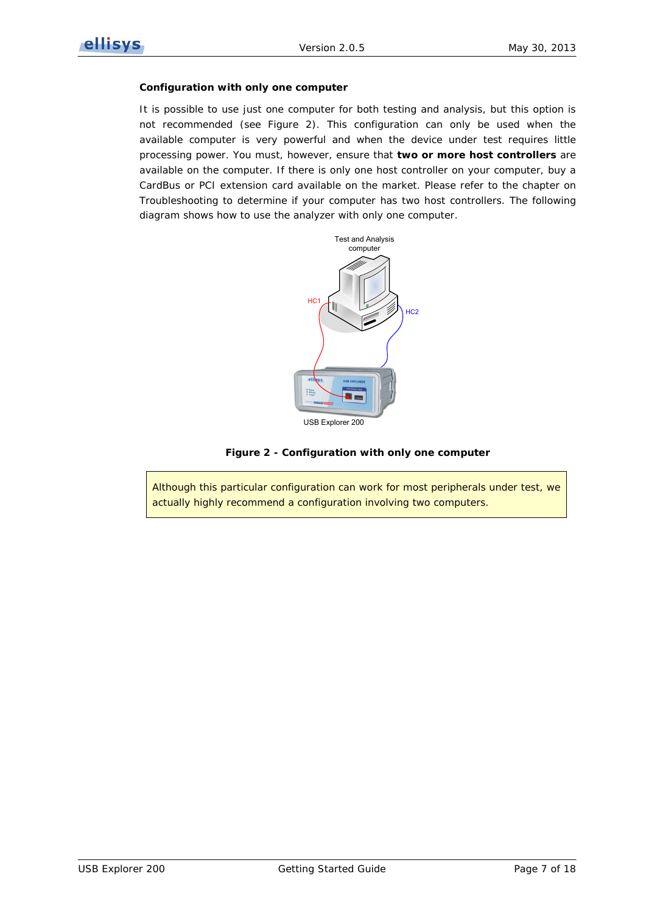#### **Configuration with only one computer**

It is possible to use just one computer for both testing and analysis, but this option is not recommended (see [Figure 2\)](#page-6-0). This configuration can only be used when the available computer is very powerful and when the device under test requires little processing power. You must, however, ensure that **two or more host controllers** are available on the computer. If there is only one host controller on your computer, buy a CardBus or PCI extension card available on the market. Please refer to the chapter on *[Troubleshooting](#page-11-0)* to determine if your computer has two host controllers. The following diagram shows how to use the analyzer with only one computer.



**Figure 2 - Configuration with only one computer**

<span id="page-6-0"></span>Although this particular configuration can work for most peripherals under test, we actually highly recommend a configuration involving two computers.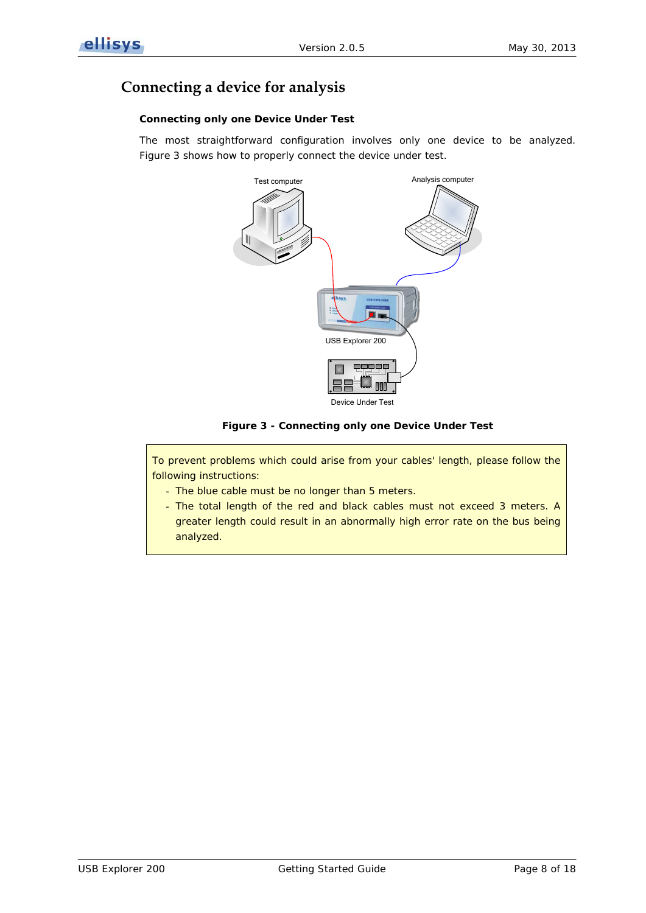# <span id="page-7-0"></span>**Connecting a device for analysis**

### **Connecting only one Device Under Test**

The most straightforward configuration involves only one device to be analyzed. [Figure 3](#page-7-1) shows how to properly connect the device under test.



### **Figure 3 - Connecting only one Device Under Test**

<span id="page-7-1"></span>To prevent problems which could arise from your cables' length, please follow the following instructions:

- The blue cable must be no longer than 5 meters.
- The total length of the red and black cables must not exceed 3 meters. A greater length could result in an abnormally high error rate on the bus being analyzed.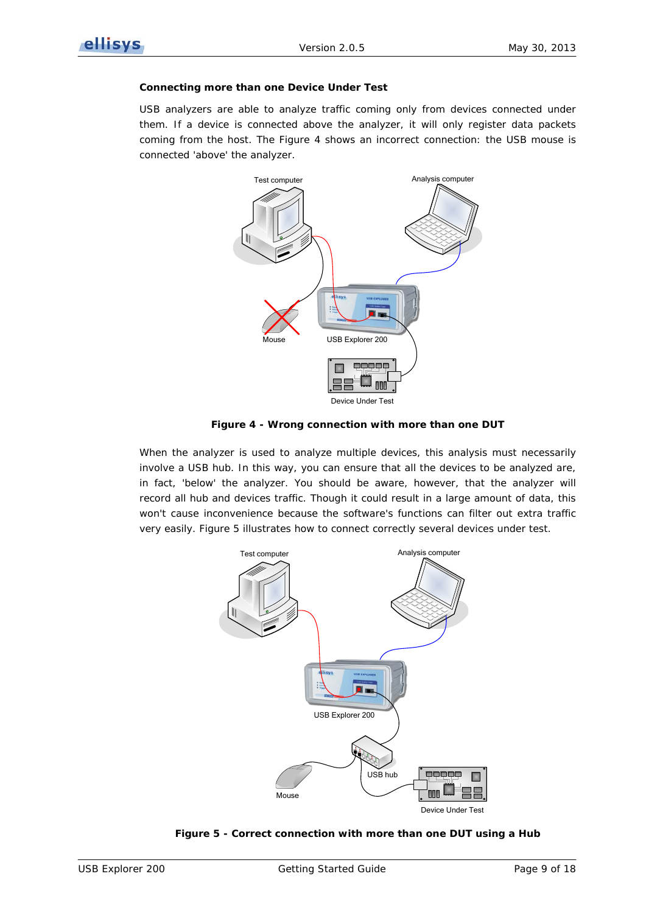#### **Connecting more than one Device Under Test**

USB analyzers are able to analyze traffic coming only from devices connected under them. If a device is connected above the analyzer, it will only register data packets coming from the host. The [Figure 4](#page-8-0) shows an incorrect connection: the USB mouse is connected 'above' the analyzer.



**Figure 4 - Wrong connection with more than one DUT**

<span id="page-8-0"></span>When the analyzer is used to analyze multiple devices, this analysis must necessarily involve a USB hub. In this way, you can ensure that all the devices to be analyzed are, in fact, 'below' the analyzer. You should be aware, however, that the analyzer will record all hub and devices traffic. Though it could result in a large amount of data, this won't cause inconvenience because the software's functions can filter out extra traffic very easily. [Figure 5](#page-8-1) illustrates how to connect correctly several devices under test.



### <span id="page-8-1"></span>**Figure 5 - Correct connection with more than one DUT using a Hub**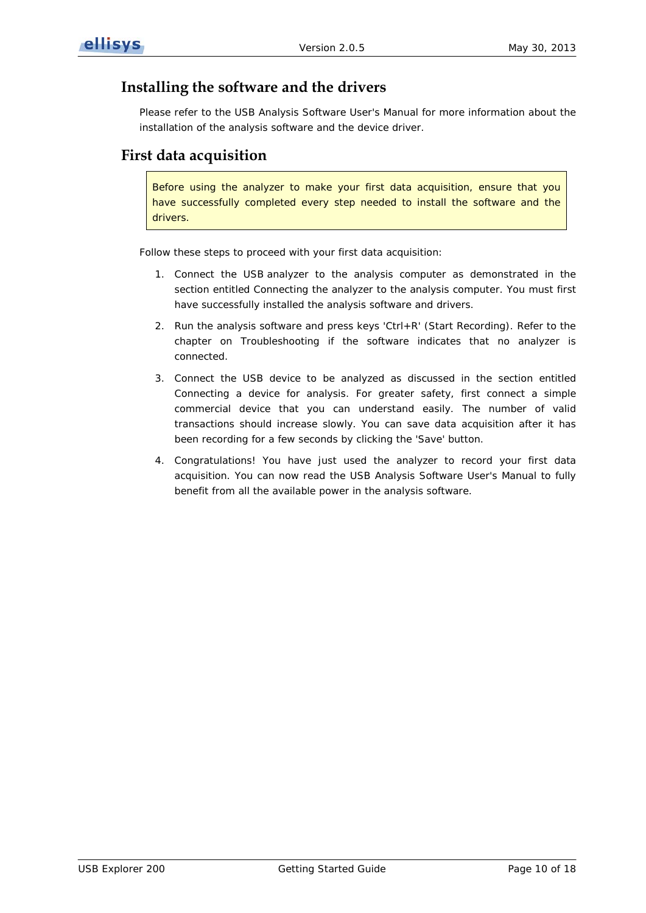## <span id="page-9-0"></span>**Installing the software and the drivers**

Please refer to the USB Analysis Software User's Manual for more information about the installation of the analysis software and the device driver.

## <span id="page-9-1"></span>**First data acquisition**

Before using the analyzer to make your first data acquisition, ensure that you have successfully completed every step needed to install the software and the drivers.

Follow these steps to proceed with your first data acquisition:

- 1. Connect the USB analyzer to the analysis computer as demonstrated in the section entitled *[Connecting the analyzer to the analysis computer](#page-4-1)*. You must first have successfully installed the analysis software and drivers.
- 2. Run the analysis software and press keys 'Ctrl+R' (*Start Recording*). Refer to the chapter on *[Troubleshooting](#page-11-0)* if the software indicates that no analyzer is connected.
- 3. Connect the USB device to be analyzed as discussed in the section entitled *[Connecting a device for analysis](#page-7-0)*. For greater safety, first connect a simple commercial device that you can understand easily. The number of valid transactions should increase slowly. You can save data acquisition after it has been recording for a few seconds by clicking the *'Save*' button.
- 4. Congratulations! You have just used the analyzer to record your first data acquisition. You can now read the USB Analysis Software User's Manual to fully benefit from all the available power in the analysis software.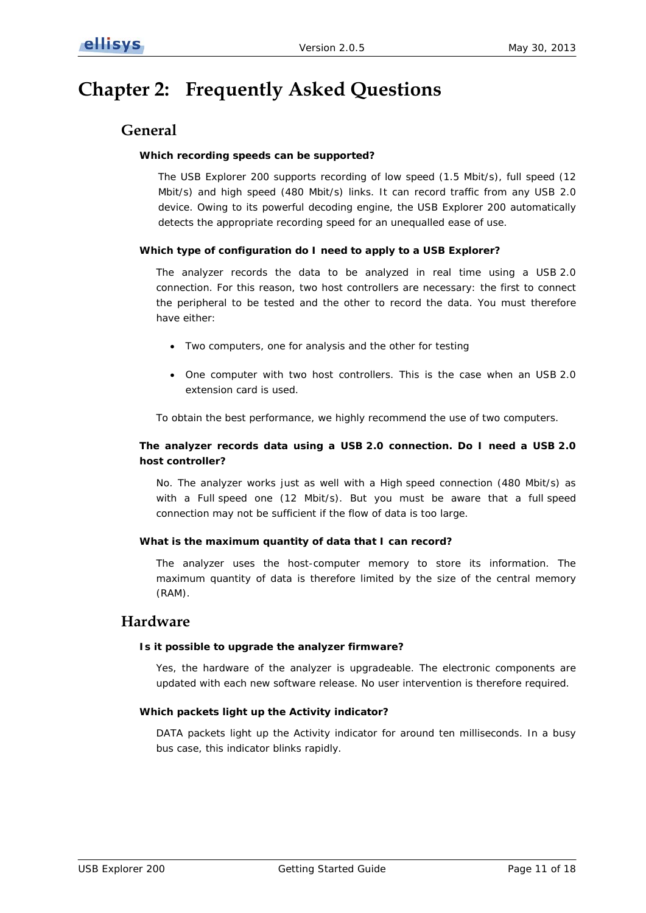# <span id="page-10-1"></span><span id="page-10-0"></span>**Chapter 2: Frequently Asked Questions**

## **General**

### **Which recording speeds can be supported?**

The USB Explorer 200 supports recording of low speed (1.5 Mbit/s), full speed (12 Mbit/s) and high speed (480 Mbit/s) links. It can record traffic from any USB 2.0 device. Owing to its powerful decoding engine, the USB Explorer 200 automatically detects the appropriate recording speed for an unequalled ease of use.

### **Which type of configuration do I need to apply to a USB Explorer?**

The analyzer records the data to be analyzed in real time using a USB 2.0 connection. For this reason, two host controllers are necessary: the first to connect the peripheral to be tested and the other to record the data. You must therefore have either:

- Two computers, one for analysis and the other for testing
- One computer with two host controllers. This is the case when an USB 2.0 extension card is used.

To obtain the best performance, we highly recommend the use of two computers.

### **The analyzer records data using a USB 2.0 connection. Do I need a USB 2.0 host controller?**

No. The analyzer works just as well with a High speed connection (480 Mbit/s) as with a Full speed one (12 Mbit/s). But you must be aware that a full speed connection may not be sufficient if the flow of data is too large.

### **What is the maximum quantity of data that I can record?**

The analyzer uses the host-computer memory to store its information. The maximum quantity of data is therefore limited by the size of the central memory (RAM).

## <span id="page-10-2"></span>**Hardware**

#### **Is it possible to upgrade the analyzer firmware?**

Yes, the hardware of the analyzer is upgradeable. The electronic components are updated with each new software release. No user intervention is therefore required.

#### **Which packets light up the Activity indicator?**

DATA packets light up the Activity indicator for around ten milliseconds. In a busy bus case, this indicator blinks rapidly.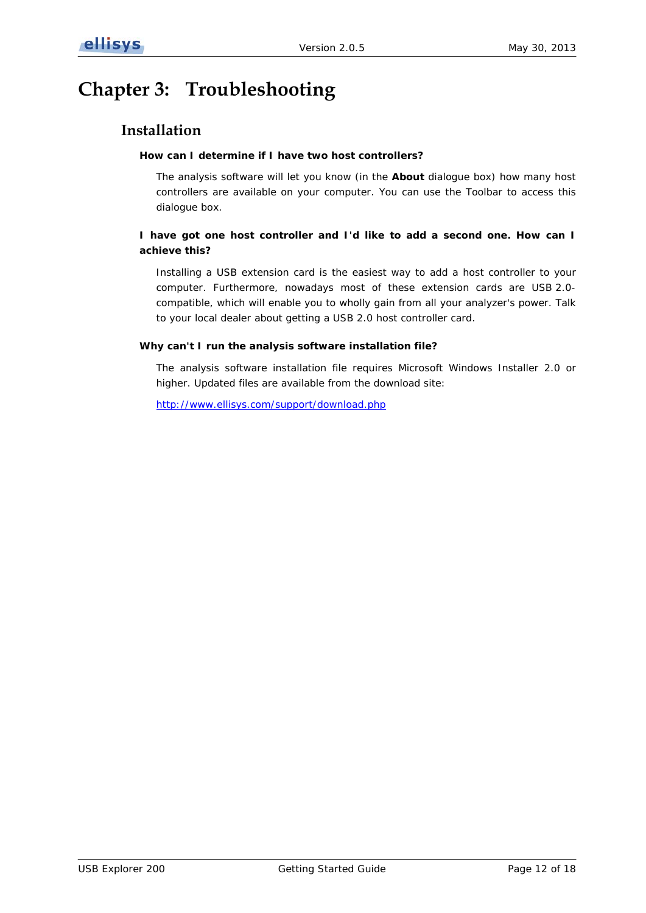# <span id="page-11-1"></span><span id="page-11-0"></span>**Chapter 3: Troubleshooting**

## **Installation**

### **How can I determine if I have two host controllers?**

The analysis software will let you know (in the **About** dialogue box) how many host controllers are available on your computer. You can use the Toolbar to access this dialogue box.

## **I have got one host controller and I'd like to add a second one. How can I achieve this?**

Installing a USB extension card is the easiest way to add a host controller to your computer. Furthermore, nowadays most of these extension cards are USB 2.0 compatible, which will enable you to wholly gain from all your analyzer's power. Talk to your local dealer about getting a USB 2.0 host controller card.

### **Why can't I run the analysis software installation file?**

The analysis software installation file requires Microsoft Windows Installer 2.0 or higher. Updated files are available from the download site:

<http://www.ellisys.com/support/download.php>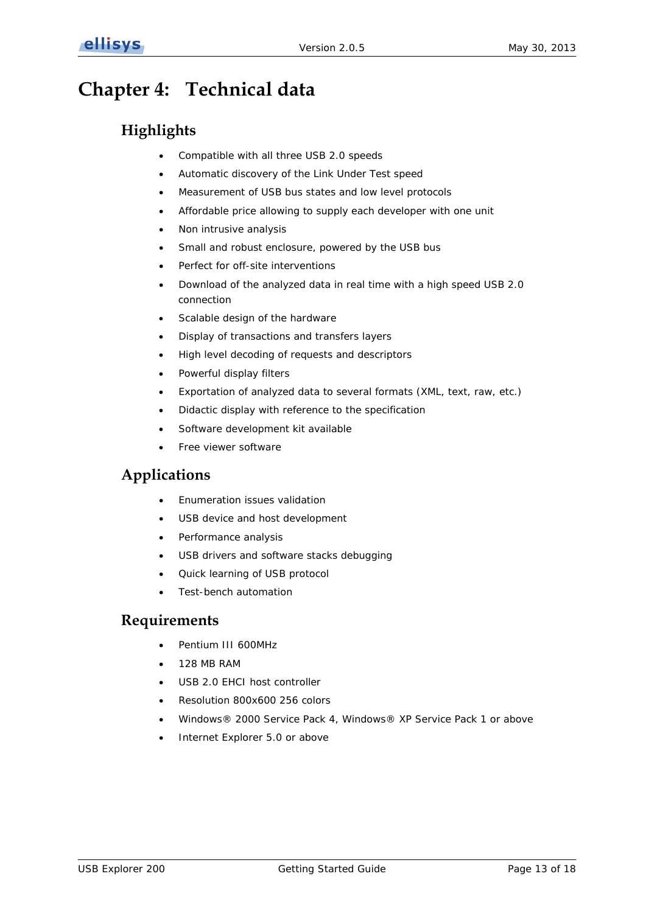# <span id="page-12-1"></span><span id="page-12-0"></span>**Chapter 4: Technical data**

# **Highlights**

- Compatible with all three USB 2.0 speeds
- Automatic discovery of the Link Under Test speed
- Measurement of USB bus states and low level protocols
- Affordable price allowing to supply each developer with one unit
- Non intrusive analysis
- Small and robust enclosure, powered by the USB bus
- Perfect for off-site interventions
- Download of the analyzed data in real time with a high speed USB 2.0 connection
- Scalable design of the hardware
- Display of transactions and transfers layers
- High level decoding of requests and descriptors
- Powerful display filters
- Exportation of analyzed data to several formats (XML, text, raw, etc.)
- Didactic display with reference to the specification
- Software development kit available
- Free viewer software

## <span id="page-12-2"></span>**Applications**

- Enumeration issues validation
- USB device and host development
- Performance analysis
- USB drivers and software stacks debugging
- Quick learning of USB protocol
- Test-bench automation

## <span id="page-12-3"></span>**Requirements**

- Pentium III 600MHz
- 128 MB RAM
- USB 2.0 EHCI host controller
- Resolution 800x600 256 colors
- Windows® 2000 Service Pack 4, Windows® XP Service Pack 1 or above
- Internet Explorer 5.0 or above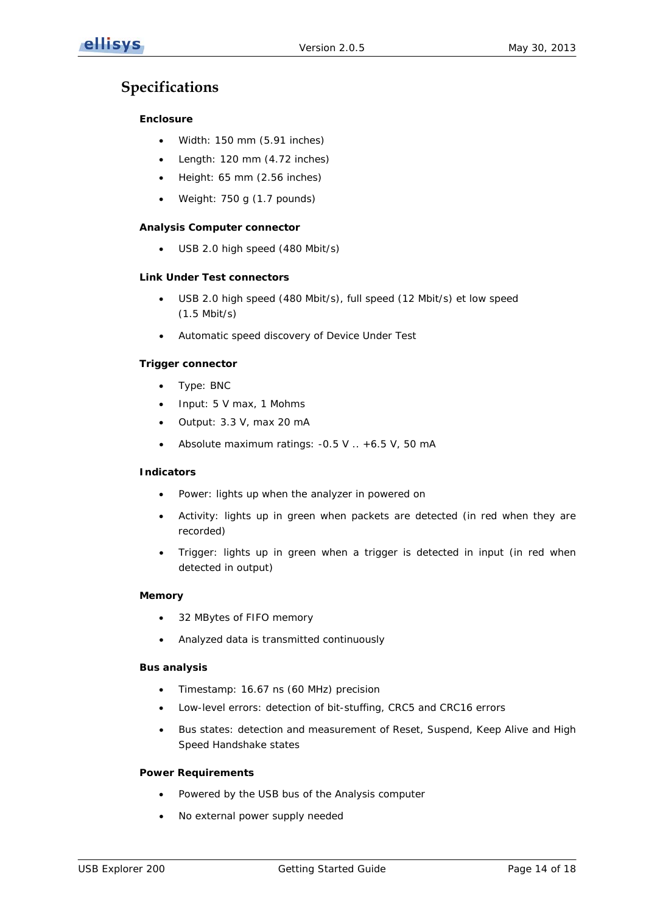## <span id="page-13-0"></span>**Specifications**

### **Enclosure**

- Width: 150 mm (5.91 inches)
- Length: 120 mm (4.72 inches)
- Height: 65 mm (2.56 inches)
- Weight: 750 g (1.7 pounds)

#### **Analysis Computer connector**

• USB 2.0 high speed (480 Mbit/s)

#### **Link Under Test connectors**

- USB 2.0 high speed (480 Mbit/s), full speed (12 Mbit/s) et low speed (1.5 Mbit/s)
- Automatic speed discovery of Device Under Test

#### **Trigger connector**

- Type: BNC
- Input: 5 V max, 1 Mohms
- Output: 3.3 V, max 20 mA
- Absolute maximum ratings: -0.5 V .. +6.5 V, 50 mA

### **Indicators**

- Power: lights up when the analyzer in powered on
- Activity: lights up in green when packets are detected (in red when they are recorded)
- Trigger: lights up in green when a trigger is detected in input (in red when detected in output)

### **Memory**

- 32 MBytes of FIFO memory
- Analyzed data is transmitted continuously

#### **Bus analysis**

- Timestamp: 16.67 ns (60 MHz) precision
- Low-level errors: detection of bit-stuffing, CRC5 and CRC16 errors
- Bus states: detection and measurement of Reset, Suspend, Keep Alive and High Speed Handshake states

#### **Power Requirements**

- Powered by the USB bus of the Analysis computer
- No external power supply needed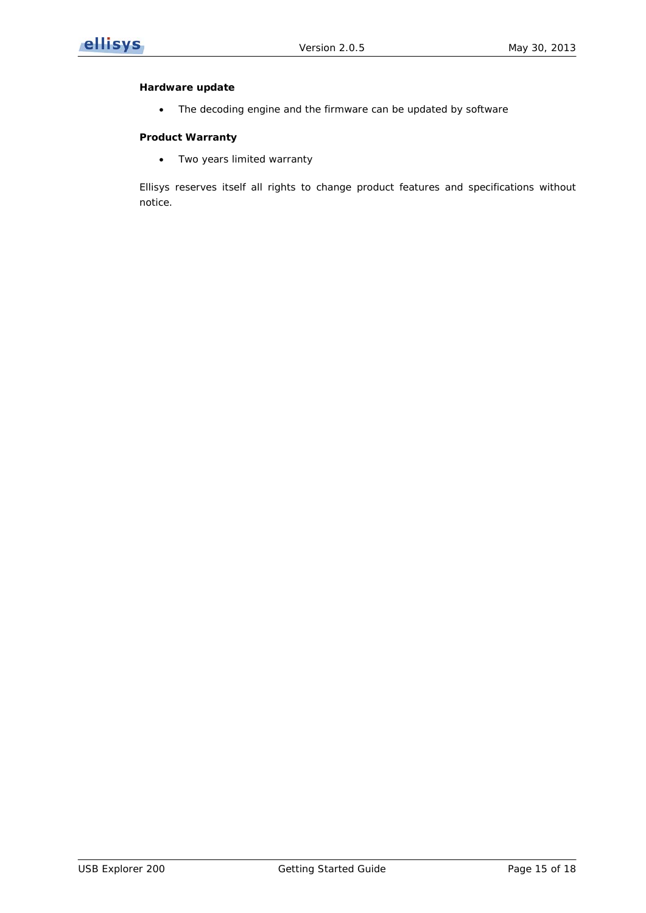

#### **Hardware update**

• The decoding engine and the firmware can be updated by software

#### **Product Warranty**

• Two years limited warranty

Ellisys reserves itself all rights to change product features and specifications without notice.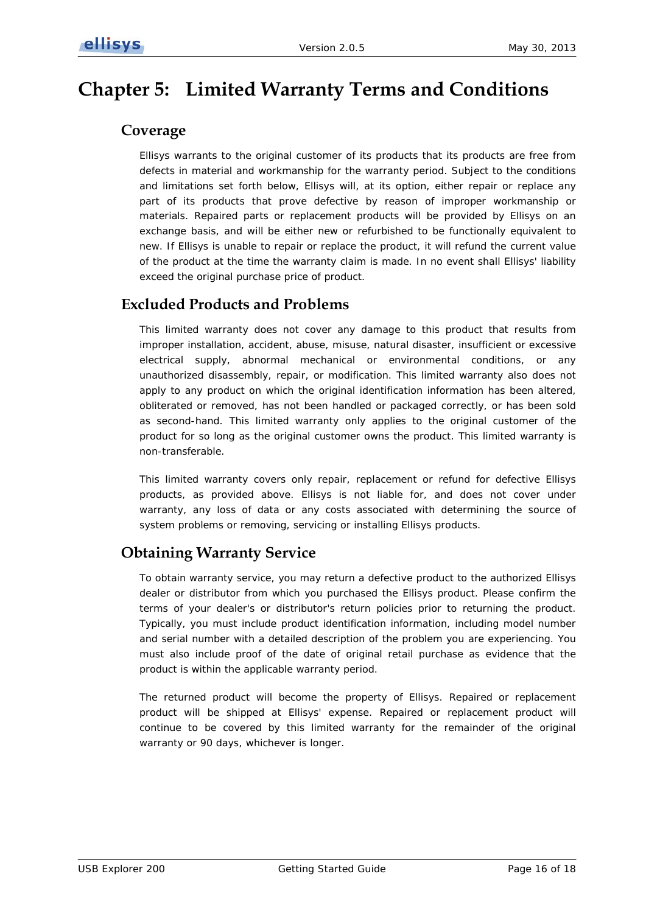# <span id="page-15-1"></span><span id="page-15-0"></span>**Chapter 5: Limited Warranty Terms and Conditions**

## **Coverage**

Ellisys warrants to the original customer of its products that its products are free from defects in material and workmanship for the warranty period. Subject to the conditions and limitations set forth below, Ellisys will, at its option, either repair or replace any part of its products that prove defective by reason of improper workmanship or materials. Repaired parts or replacement products will be provided by Ellisys on an exchange basis, and will be either new or refurbished to be functionally equivalent to new. If Ellisys is unable to repair or replace the product, it will refund the current value of the product at the time the warranty claim is made. In no event shall Ellisys' liability exceed the original purchase price of product.

## <span id="page-15-2"></span>**Excluded Products and Problems**

This limited warranty does not cover any damage to this product that results from improper installation, accident, abuse, misuse, natural disaster, insufficient or excessive electrical supply, abnormal mechanical or environmental conditions, or any unauthorized disassembly, repair, or modification. This limited warranty also does not apply to any product on which the original identification information has been altered, obliterated or removed, has not been handled or packaged correctly, or has been sold as second-hand. This limited warranty only applies to the original customer of the product for so long as the original customer owns the product. This limited warranty is non-transferable.

This limited warranty covers only repair, replacement or refund for defective Ellisys products, as provided above. Ellisys is not liable for, and does not cover under warranty, any loss of data or any costs associated with determining the source of system problems or removing, servicing or installing Ellisys products.

## <span id="page-15-3"></span>**Obtaining Warranty Service**

To obtain warranty service, you may return a defective product to the authorized Ellisys dealer or distributor from which you purchased the Ellisys product. Please confirm the terms of your dealer's or distributor's return policies prior to returning the product. Typically, you must include product identification information, including model number and serial number with a detailed description of the problem you are experiencing. You must also include proof of the date of original retail purchase as evidence that the product is within the applicable warranty period.

The returned product will become the property of Ellisys. Repaired or replacement product will be shipped at Ellisys' expense. Repaired or replacement product will continue to be covered by this limited warranty for the remainder of the original warranty or 90 days, whichever is longer.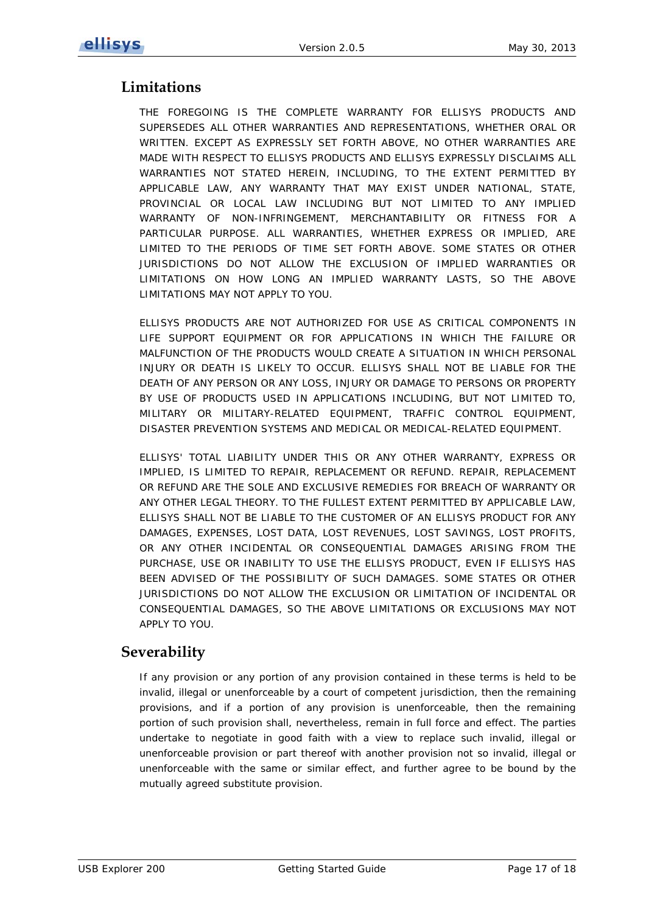## <span id="page-16-0"></span>**Limitations**

THE FOREGOING IS THE COMPLETE WARRANTY FOR ELLISYS PRODUCTS AND SUPERSEDES ALL OTHER WARRANTIES AND REPRESENTATIONS, WHETHER ORAL OR WRITTEN. EXCEPT AS EXPRESSLY SET FORTH ABOVE, NO OTHER WARRANTIES ARE MADE WITH RESPECT TO ELLISYS PRODUCTS AND ELLISYS EXPRESSLY DISCLAIMS ALL WARRANTIES NOT STATED HEREIN, INCLUDING, TO THE EXTENT PERMITTED BY APPLICABLE LAW, ANY WARRANTY THAT MAY EXIST UNDER NATIONAL, STATE, PROVINCIAL OR LOCAL LAW INCLUDING BUT NOT LIMITED TO ANY IMPLIED WARRANTY OF NON-INFRINGEMENT, MERCHANTABILITY OR FITNESS FOR A PARTICULAR PURPOSE. ALL WARRANTIES, WHETHER EXPRESS OR IMPLIED, ARE LIMITED TO THE PERIODS OF TIME SET FORTH ABOVE. SOME STATES OR OTHER JURISDICTIONS DO NOT ALLOW THE EXCLUSION OF IMPLIED WARRANTIES OR LIMITATIONS ON HOW LONG AN IMPLIED WARRANTY LASTS, SO THE ABOVE LIMITATIONS MAY NOT APPLY TO YOU.

ELLISYS PRODUCTS ARE NOT AUTHORIZED FOR USE AS CRITICAL COMPONENTS IN LIFE SUPPORT EQUIPMENT OR FOR APPLICATIONS IN WHICH THE FAILURE OR MALFUNCTION OF THE PRODUCTS WOULD CREATE A SITUATION IN WHICH PERSONAL INJURY OR DEATH IS LIKELY TO OCCUR. ELLISYS SHALL NOT BE LIABLE FOR THE DEATH OF ANY PERSON OR ANY LOSS, INJURY OR DAMAGE TO PERSONS OR PROPERTY BY USE OF PRODUCTS USED IN APPLICATIONS INCLUDING, BUT NOT LIMITED TO, MILITARY OR MILITARY-RELATED EQUIPMENT, TRAFFIC CONTROL EQUIPMENT, DISASTER PREVENTION SYSTEMS AND MEDICAL OR MEDICAL-RELATED EQUIPMENT.

ELLISYS' TOTAL LIABILITY UNDER THIS OR ANY OTHER WARRANTY, EXPRESS OR IMPLIED, IS LIMITED TO REPAIR, REPLACEMENT OR REFUND. REPAIR, REPLACEMENT OR REFUND ARE THE SOLE AND EXCLUSIVE REMEDIES FOR BREACH OF WARRANTY OR ANY OTHER LEGAL THEORY. TO THE FULLEST EXTENT PERMITTED BY APPLICABLE LAW, ELLISYS SHALL NOT BE LIABLE TO THE CUSTOMER OF AN ELLISYS PRODUCT FOR ANY DAMAGES, EXPENSES, LOST DATA, LOST REVENUES, LOST SAVINGS, LOST PROFITS, OR ANY OTHER INCIDENTAL OR CONSEQUENTIAL DAMAGES ARISING FROM THE PURCHASE, USE OR INABILITY TO USE THE ELLISYS PRODUCT, EVEN IF ELLISYS HAS BEEN ADVISED OF THE POSSIBILITY OF SUCH DAMAGES. SOME STATES OR OTHER JURISDICTIONS DO NOT ALLOW THE EXCLUSION OR LIMITATION OF INCIDENTAL OR CONSEQUENTIAL DAMAGES, SO THE ABOVE LIMITATIONS OR EXCLUSIONS MAY NOT APPLY TO YOU.

## <span id="page-16-1"></span>**Severability**

If any provision or any portion of any provision contained in these terms is held to be invalid, illegal or unenforceable by a court of competent jurisdiction, then the remaining provisions, and if a portion of any provision is unenforceable, then the remaining portion of such provision shall, nevertheless, remain in full force and effect. The parties undertake to negotiate in good faith with a view to replace such invalid, illegal or unenforceable provision or part thereof with another provision not so invalid, illegal or unenforceable with the same or similar effect, and further agree to be bound by the mutually agreed substitute provision.